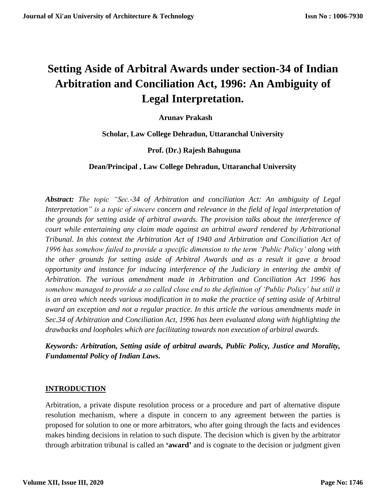# **Setting Aside of Arbitral Awards under section-34 of Indian Arbitration and Conciliation Act, 1996: An Ambiguity of Legal Interpretation.**

 **Arunav Prakash**

 **Scholar, Law College Dehradun, Uttaranchal University**

 **Prof. (Dr.) Rajesh Bahuguna**

 **Dean/Principal , Law College Dehradun, Uttaranchal University**

*Abstract: The topic "Sec.-34 of Arbitration and conciliation Act: An ambiguity of Legal Interpretation" is a topic of sincere concern and relevance in the field of legal interpretation of the grounds for setting aside of arbitral awards. The provision talks about the interference of court while entertaining any claim made against an arbitral award rendered by Arbitrational Tribunal. In this context the Arbitration Act of 1940 and Arbitration and Conciliation Act of 1996 has somehow failed to provide a specific dimension to the term 'Public Policy' along with the other grounds for setting aside of Arbitral Awards and as a result it gave a broad opportunity and instance for inducing interference of the Judiciary in entering the ambit of Arbitration. The various amendment made in Arbitration and Conciliation Act 1996 has somehow managed to provide a so called close end to the definition of 'Public Policy' but still it is an area which needs various modification in to make the practice of setting aside of Arbitral award an exception and not a regular practice. In this article the various amendments made in Sec.34 of Arbitration and Conciliation Act, 1996 has been evaluated along with highlighting the drawbacks and loopholes which are facilitating towards non execution of arbitral awards.* 

*Keywords: Arbitration, Setting aside of arbitral awards, Public Policy, Justice and Morality, Fundamental Policy of Indian Laws.*

#### **INTRODUCTION**

Arbitration, a private dispute resolution process or a procedure and part of alternative dispute resolution mechanism, where a dispute in concern to any agreement between the parties is proposed for solution to one or more arbitrators, who after going through the facts and evidences makes binding decisions in relation to such dispute. The decision which is given by the arbitrator through arbitration tribunal is called an **'award'** and is cognate to the decision or judgment given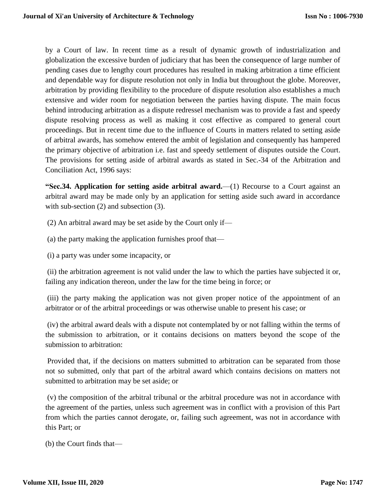by a Court of law. In recent time as a result of dynamic growth of industrialization and globalization the excessive burden of judiciary that has been the consequence of large number of pending cases due to lengthy court procedures has resulted in making arbitration a time efficient and dependable way for dispute resolution not only in India but throughout the globe. Moreover, arbitration by providing flexibility to the procedure of dispute resolution also establishes a much extensive and wider room for negotiation between the parties having dispute. The main focus behind introducing arbitration as a dispute redressel mechanism was to provide a fast and speedy dispute resolving process as well as making it cost effective as compared to general court proceedings. But in recent time due to the influence of Courts in matters related to setting aside of arbitral awards, has somehow entered the ambit of legislation and consequently has hampered the primary objective of arbitration i.e. fast and speedy settlement of disputes outside the Court. The provisions for setting aside of arbitral awards as stated in Sec.-34 of the Arbitration and Conciliation Act, 1996 says:

**"Sec.34. Application for setting aside arbitral award.**—(1) Recourse to a Court against an arbitral award may be made only by an application for setting aside such award in accordance with sub-section (2) and subsection (3).

(2) An arbitral award may be set aside by the Court only if—

(a) the party making the application furnishes proof that—

(i) a party was under some incapacity, or

(ii) the arbitration agreement is not valid under the law to which the parties have subjected it or, failing any indication thereon, under the law for the time being in force; or

(iii) the party making the application was not given proper notice of the appointment of an arbitrator or of the arbitral proceedings or was otherwise unable to present his case; or

(iv) the arbitral award deals with a dispute not contemplated by or not falling within the terms of the submission to arbitration, or it contains decisions on matters beyond the scope of the submission to arbitration:

Provided that, if the decisions on matters submitted to arbitration can be separated from those not so submitted, only that part of the arbitral award which contains decisions on matters not submitted to arbitration may be set aside; or

(v) the composition of the arbitral tribunal or the arbitral procedure was not in accordance with the agreement of the parties, unless such agreement was in conflict with a provision of this Part from which the parties cannot derogate, or, failing such agreement, was not in accordance with this Part; or

(b) the Court finds that—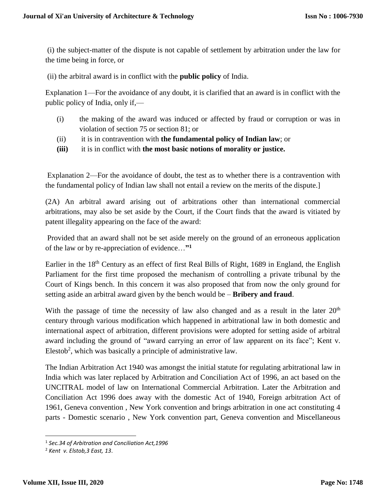(i) the subject-matter of the dispute is not capable of settlement by arbitration under the law for the time being in force, or

(ii) the arbitral award is in conflict with the **public policy** of India.

Explanation 1—For the avoidance of any doubt, it is clarified that an award is in conflict with the public policy of India, only if,—

- (i) the making of the award was induced or affected by fraud or corruption or was in violation of section 75 or section 81; or
- (ii) it is in contravention with **the fundamental policy of Indian law**; or
- **(iii)** it is in conflict with **the most basic notions of morality or justice.**

Explanation 2—For the avoidance of doubt, the test as to whether there is a contravention with the fundamental policy of Indian law shall not entail a review on the merits of the dispute.]

(2A) An arbitral award arising out of arbitrations other than international commercial arbitrations, may also be set aside by the Court, if the Court finds that the award is vitiated by patent illegality appearing on the face of the award:

Provided that an award shall not be set aside merely on the ground of an erroneous application of the law or by re-appreciation of evidence…**" 1**

Earlier in the 18<sup>th</sup> Century as an effect of first Real Bills of Right, 1689 in England, the English Parliament for the first time proposed the mechanism of controlling a private tribunal by the Court of Kings bench. In this concern it was also proposed that from now the only ground for setting aside an arbitral award given by the bench would be – **Bribery and fraud**.

With the passage of time the necessity of law also changed and as a result in the later  $20<sup>th</sup>$ century through various modification which happened in arbitrational law in both domestic and international aspect of arbitration, different provisions were adopted for setting aside of arbitral award including the ground of "award carrying an error of law apparent on its face"; Kent v. Elestob<sup>2</sup>, which was basically a principle of administrative law.

The Indian Arbitration Act 1940 was amongst the initial statute for regulating arbitrational law in India which was later replaced by Arbitration and Conciliation Act of 1996, an act based on the UNCITRAL model of law on International Commercial Arbitration. Later the Arbitration and Conciliation Act 1996 does away with the domestic Act of 1940, Foreign arbitration Act of 1961, Geneva convention , New York convention and brings arbitration in one act constituting 4 parts - Domestic scenario , New York convention part, Geneva convention and Miscellaneous

l

<sup>1</sup> *Sec.34 of Arbitration and Conciliation Act,1996*

<sup>2</sup> *Kent v. Elstob,3 East, 13*.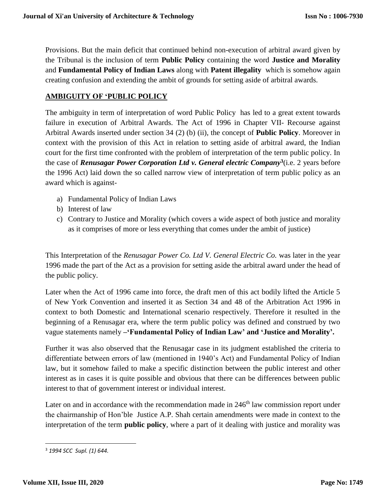Provisions. But the main deficit that continued behind non-execution of arbitral award given by the Tribunal is the inclusion of term **Public Policy** containing the word **Justice and Morality** and **Fundamental Policy of Indian Laws** along with **Patent illegality** which is somehow again creating confusion and extending the ambit of grounds for setting aside of arbitral awards.

#### **AMBIGUITY OF 'PUBLIC POLICY**

The ambiguity in term of interpretation of word Public Policy has led to a great extent towards failure in execution of Arbitral Awards. The Act of 1996 in Chapter VII- Recourse against Arbitral Awards inserted under section 34 (2) (b) (ii), the concept of **Public Policy**. Moreover in context with the provision of this Act in relation to setting aside of arbitral award, the Indian court for the first time confronted with the problem of interpretation of the term public policy. In the case of *Renusagar Power Corporation Ltd v. General electric Company***<sup>3</sup>** (i.e. 2 years before the 1996 Act) laid down the so called narrow view of interpretation of term public policy as an award which is against-

- a) Fundamental Policy of Indian Laws
- b) Interest of law
- c) Contrary to Justice and Morality (which covers a wide aspect of both justice and morality as it comprises of more or less everything that comes under the ambit of justice)

This Interpretation of the *Renusagar Power Co. Ltd V. General Electric Co.* was later in the year 1996 made the part of the Act as a provision for setting aside the arbitral award under the head of the public policy.

Later when the Act of 1996 came into force, the draft men of this act bodily lifted the Article 5 of New York Convention and inserted it as Section 34 and 48 of the Arbitration Act 1996 in context to both Domestic and International scenario respectively. Therefore it resulted in the beginning of a Renusagar era, where the term public policy was defined and construed by two vague statements namely **–'Fundamental Policy of Indian Law' and 'Justice and Morality'.**

Further it was also observed that the Renusagar case in its judgment established the criteria to differentiate between errors of law (mentioned in 1940's Act) and Fundamental Policy of Indian law, but it somehow failed to make a specific distinction between the public interest and other interest as in cases it is quite possible and obvious that there can be differences between public interest to that of government interest or individual interest.

Later on and in accordance with the recommendation made in 246<sup>th</sup> law commission report under the chairmanship of Hon'ble Justice A.P. Shah certain amendments were made in context to the interpretation of the term **public policy**, where a part of it dealing with justice and morality was

 $\overline{\phantom{a}}$ <sup>3</sup> *1994 SCC Supl. (1) 644.*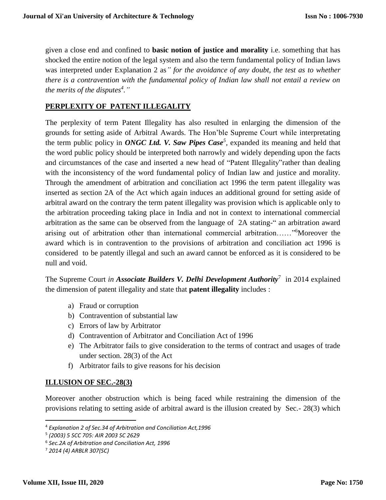given a close end and confined to **basic notion of justice and morality** i.e. something that has shocked the entire notion of the legal system and also the term fundamental policy of Indian laws was interpreted under Explanation 2 as*" for the avoidance of any doubt, the test as to whether there is a contravention with the fundamental policy of Indian law shall not entail a review on the merits of the disputes<sup>4</sup> ."*

# **PERPLEXITY OF PATENT ILLEGALITY**

The perplexity of term Patent Illegality has also resulted in enlarging the dimension of the grounds for setting aside of Arbitral Awards. The Hon'ble Supreme Court while interpretating the term public policy in *ONGC Ltd. V. Saw Pipes Case<sup>5</sup>*, expanded its meaning and held that the word public policy should be interpreted both narrowly and widely depending upon the facts and circumstances of the case and inserted a new head of "Patent Illegality"rather than dealing with the inconsistency of the word fundamental policy of Indian law and justice and morality. Through the amendment of arbitration and conciliation act 1996 the term patent illegality was inserted as section 2A of the Act which again induces an additional ground for setting aside of arbitral award on the contrary the term patent illegality was provision which is applicable only to the arbitration proceeding taking place in India and not in context to international commercial arbitration as the same can be observed from the language of 2A stating-" an arbitration award arising out of arbitration other than international commercial arbitration……" <sup>6</sup>Moreover the award which is in contravention to the provisions of arbitration and conciliation act 1996 is considered to be patently illegal and such an award cannot be enforced as it is considered to be null and void.

The Supreme Court *in Associate Builders V. Delhi Development Authority*<sup>7</sup> in 2014 explained the dimension of patent illegality and state that **patent illegality** includes :

- a) Fraud or corruption
- b) Contravention of substantial law
- c) Errors of law by Arbitrator
- d) Contravention of Arbitrator and Conciliation Act of 1996
- e) The Arbitrator fails to give consideration to the terms of contract and usages of trade under section. 28(3) of the Act
- f) Arbitrator fails to give reasons for his decision

## **ILLUSION OF SEC.-28(3)**

Moreover another obstruction which is being faced while restraining the dimension of the provisions relating to setting aside of arbitral award is the illusion created by Sec.- 28(3) which

 $\overline{a}$ 

<sup>4</sup> *Explanation 2 of Sec.34 of Arbitration and Conciliation Act,1996*

<sup>5</sup> *(2003) 5 SCC 705: AIR 2003 SC 2629*

<sup>6</sup> *Sec.2A of Arbitration and Conciliation Act, 1996*

<sup>7</sup> *2014 (4) ARBLR 307(SC)*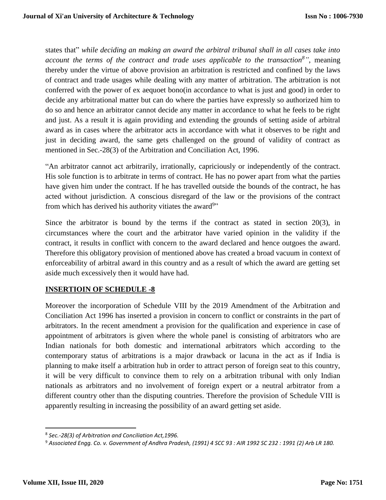states that" *while deciding an making an award the arbitral tribunal shall in all cases take into account the terms of the contract and trade uses applicable to the transaction<sup>8</sup>"*, meaning thereby under the virtue of above provision an arbitration is restricted and confined by the laws of contract and trade usages while dealing with any matter of arbitration. The arbitration is not conferred with the power of ex aequoet bono(in accordance to what is just and good) in order to decide any arbitrational matter but can do where the parties have expressly so authorized him to do so and hence an arbitrator cannot decide any matter in accordance to what he feels to be right and just. As a result it is again providing and extending the grounds of setting aside of arbitral award as in cases where the arbitrator acts in accordance with what it observes to be right and just in deciding award, the same gets challenged on the ground of validity of contract as mentioned in Sec.-28(3) of the Arbitration and Conciliation Act, 1996.

"An arbitrator cannot act arbitrarily, irrationally, capriciously or independently of the contract. His sole function is to arbitrate in terms of contract. He has no power apart from what the parties have given him under the contract. If he has travelled outside the bounds of the contract, he has acted without jurisdiction. A conscious disregard of the law or the provisions of the contract from which has derived his authority vitiates the award<sup>9</sup>"

Since the arbitrator is bound by the terms if the contract as stated in section 20(3), in circumstances where the court and the arbitrator have varied opinion in the validity if the contract, it results in conflict with concern to the award declared and hence outgoes the award. Therefore this obligatory provision of mentioned above has created a broad vacuum in context of enforceability of arbitral award in this country and as a result of which the award are getting set aside much excessively then it would have had.

## **INSERTIOIN OF SCHEDULE -8**

Moreover the incorporation of Schedule VIII by the 2019 Amendment of the Arbitration and Conciliation Act 1996 has inserted a provision in concern to conflict or constraints in the part of arbitrators. In the recent amendment a provision for the qualification and experience in case of appointment of arbitrators is given where the whole panel is consisting of arbitrators who are Indian nationals for both domestic and international arbitrators which according to the contemporary status of arbitrations is a major drawback or lacuna in the act as if India is planning to make itself a arbitration hub in order to attract person of foreign seat to this country, it will be very difficult to convince them to rely on a arbitration tribunal with only Indian nationals as arbitrators and no involvement of foreign expert or a neutral arbitrator from a different country other than the disputing countries. Therefore the provision of Schedule VIII is apparently resulting in increasing the possibility of an award getting set aside.

 $\overline{\phantom{a}}$ 

<sup>8</sup> *Sec.-28(3) of Arbitration and Conciliation Act,1996.*

<sup>9</sup> *Associated Engg. Co. v. Government of Andhra Pradesh, (1991) 4 SCC 93 : AIR 1992 SC 232 : 1991 (2) Arb LR 180.*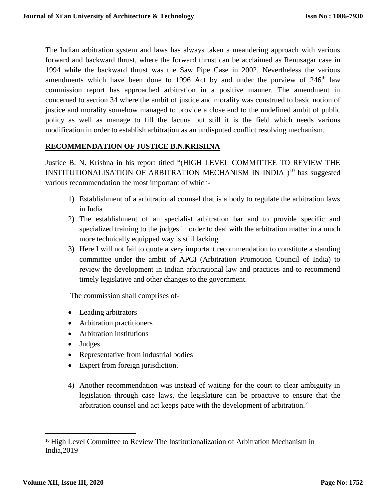The Indian arbitration system and laws has always taken a meandering approach with various forward and backward thrust, where the forward thrust can be acclaimed as Renusagar case in 1994 while the backward thrust was the Saw Pipe Case in 2002. Nevertheless the various amendments which have been done to 1996 Act by and under the purview of  $246<sup>th</sup>$  law commission report has approached arbitration in a positive manner. The amendment in concerned to section 34 where the ambit of justice and morality was construed to basic notion of justice and morality somehow managed to provide a close end to the undefined ambit of public policy as well as manage to fill the lacuna but still it is the field which needs various modification in order to establish arbitration as an undisputed conflict resolving mechanism.

## **RECOMMENDATION OF JUSTICE B.N.KRISHNA**

Justice B. N. Krishna in his report titled "(HIGH LEVEL COMMITTEE TO REVIEW THE INSTITUTIONALISATION OF ARBITRATION MECHANISM IN INDIA )<sup>10</sup> has suggested various recommendation the most important of which-

- 1) Establishment of a arbitrational counsel that is a body to regulate the arbitration laws in India
- 2) The establishment of an specialist arbitration bar and to provide specific and specialized training to the judges in order to deal with the arbitration matter in a much more technically equipped way is still lacking
- 3) Here I will not fail to quote a very important recommendation to constitute a standing committee under the ambit of APCI (Arbitration Promotion Council of India) to review the development in Indian arbitrational law and practices and to recommend timely legislative and other changes to the government.

The commission shall comprises of-

- Leading arbitrators
- Arbitration practitioners
- Arbitration institutions
- Judges
- Representative from industrial bodies
- Expert from foreign jurisdiction.
- 4) Another recommendation was instead of waiting for the court to clear ambiguity in legislation through case laws, the legislature can be proactive to ensure that the arbitration counsel and act keeps pace with the development of arbitration."

l

<sup>&</sup>lt;sup>10</sup> High Level Committee to Review The Institutionalization of Arbitration Mechanism in India,2019